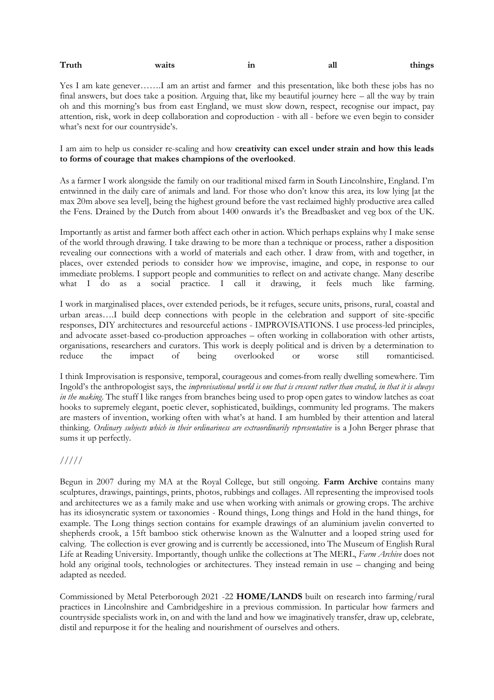| Truth | waits | 1n<br>the contract of the contract of | all | things |
|-------|-------|---------------------------------------|-----|--------|
|       |       |                                       |     |        |

Yes I am kate genever…….I am an artist and farmer and this presentation, like both these jobs has no final answers, but does take a position. Arguing that, like my beautiful journey here – all the way by train oh and this morning's bus from east England, we must slow down, respect, recognise our impact, pay attention, risk, work in deep collaboration and coproduction - with all - before we even begin to consider what's next for our countryside's.

I am aim to help us consider re-scaling and how **creativity can excel under strain and how this leads to forms of courage that makes champions of the overlooked**.

As a farmer I work alongside the family on our traditional mixed farm in South Lincolnshire, England. I'm entwinned in the daily care of animals and land. For those who don't know this area, its low lying [at the max 20m above sea level], being the highest ground before the vast reclaimed highly productive area called the Fens. Drained by the Dutch from about 1400 onwards it's the Breadbasket and veg box of the UK.

Importantly as artist and farmer both affect each other in action. Which perhaps explains why I make sense of the world through drawing. I take drawing to be more than a technique or process, rather a disposition revealing our connections with a world of materials and each other. I draw from, with and together, in places, over extended periods to consider how we improvise, imagine, and cope, in response to our immediate problems. I support people and communities to reflect on and activate change. Many describe what I do as a social practice. I call it drawing, it feels much like farming.

I work in marginalised places, over extended periods, be it refuges, secure units, prisons, rural, coastal and urban areas….I build deep connections with people in the celebration and support of site-specific responses, DIY architectures and resourceful actions - IMPROVISATIONS. I use process-led principles, and advocate asset-based co-production approaches – often working in collaboration with other artists, organisations, researchers and curators. This work is deeply political and is driven by a determination to reduce the impact of being overlooked or worse still romanticised.

I think Improvisation is responsive, temporal, courageous and comes from really dwelling somewhere. Tim Ingold's the anthropologist says, the *improvisational world is one that is crescent rather than created, in that it is always in the making*. The stuff I like ranges from branches being used to prop open gates to window latches as coat hooks to supremely elegant, poetic clever, sophisticated, buildings, community led programs. The makers are masters of invention, working often with what's at hand. I am humbled by their attention and lateral thinking. *Ordinary subjects which in their ordinariness are extraordinarily representative* is a John Berger phrase that sums it up perfectly.

## /////

Begun in 2007 during my MA at the Royal College, but still ongoing. **Farm Archive** contains many sculptures, drawings, paintings, prints, photos, rubbings and collages. All representing the improvised tools and architectures we as a family make and use when working with animals or growing crops. The archive has its idiosyncratic system or taxonomies - Round things, Long things and Hold in the hand things, for example. The Long things section contains for example drawings of an aluminium javelin converted to shepherds crook, a 15ft bamboo stick otherwise known as the Walnutter and a looped string used for calving. The collection is ever growing and is currently be accessioned, into The Museum of English Rural Life at Reading University. Importantly, though unlike the collections at The MERL, *Farm Archive* does not hold any original tools, technologies or architectures. They instead remain in use – changing and being adapted as needed.

Commissioned by Metal Peterborough 2021 -22 **HOME/LANDS** built on research into farming/rural practices in Lincolnshire and Cambridgeshire in a previous commission. In particular how farmers and countryside specialists work in, on and with the land and how we imaginatively transfer, draw up, celebrate, distil and repurpose it for the healing and nourishment of ourselves and others.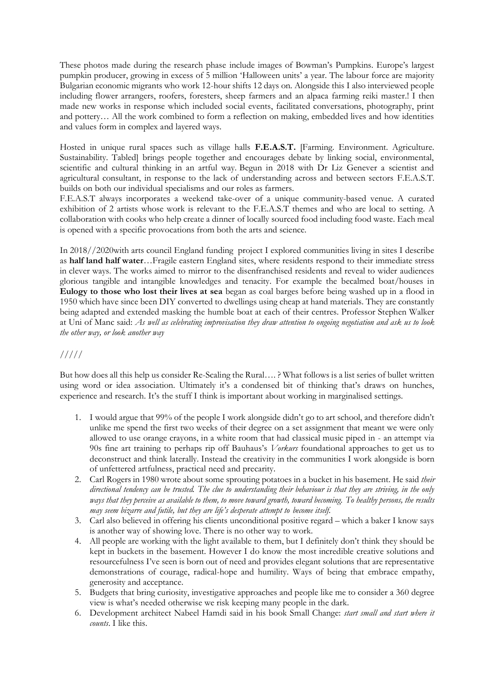These photos made during the research phase include images of Bowman's Pumpkins. Europe's largest pumpkin producer, growing in excess of 5 million 'Halloween units' a year. The labour force are majority Bulgarian economic migrants who work 12-hour shifts 12 days on. Alongside this I also interviewed people including flower arrangers, roofers, foresters, sheep farmers and an alpaca farming reiki master.! I then made new works in response which included social events, facilitated conversations, photography, print and pottery… All the work combined to form a reflection on making, embedded lives and how identities and values form in complex and layered ways.

Hosted in unique rural spaces such as village halls **F.E.A.S.T.** [Farming. Environment. Agriculture. Sustainability. Tabled] brings people together and encourages debate by linking social, environmental, scientific and cultural thinking in an artful way. Begun in 2018 with Dr Liz Genever a scientist and agricultural consultant, in response to the lack of understanding across and between sectors F.E.A.S.T. builds on both our individual specialisms and our roles as farmers.

F.E.A.S.T always incorporates a weekend take-over of a unique community-based venue. A curated exhibition of 2 artists whose work is relevant to the F.E.A.S.T themes and who are local to setting. A collaboration with cooks who help create a dinner of locally sourced food including food waste. Each meal is opened with a specific provocations from both the arts and science.

In 2018//2020with arts council England funding project I explored communities living in sites I describe as **half land half water**…Fragile eastern England sites, where residents respond to their immediate stress in clever ways. The works aimed to mirror to the disenfranchised residents and reveal to wider audiences glorious tangible and intangible knowledges and tenacity. For example the becalmed boat/houses in **Eulogy to those who lost their lives at sea** began as coal barges before being washed up in a flood in 1950 which have since been DIY converted to dwellings using cheap at hand materials. They are constantly being adapted and extended masking the humble boat at each of their centres. Professor Stephen Walker at Uni of Manc said: *As well as celebrating improvisation they draw attention to ongoing negotiation and ask us to look the other way, or look another way*

## /////

But how does all this help us consider Re-Scaling the Rural…. ? What follows is a list series of bullet written using word or idea association. Ultimately it's a condensed bit of thinking that's draws on hunches, experience and research. It's the stuff I think is important about working in marginalised settings.

- 1. I would argue that 99% of the people I work alongside didn't go to art school, and therefore didn't unlike me spend the first two weeks of their degree on a set assignment that meant we were only allowed to use orange crayons, in a white room that had classical music piped in - an attempt via 90s fine art training to perhaps rip off Bauhaus's *Vorkurs* foundational approaches to get us to deconstruct and think laterally. Instead the creativity in the communities I work alongside is born of unfettered artfulness, practical need and precarity.
- 2. Carl Rogers in 1980 wrote about some sprouting potatoes in a bucket in his basement. He said *their directional tendency can be trusted. The clue to understanding their behaviour is that they are striving, in the only ways that they perceive as available to them, to move toward growth, toward becoming. To healthy persons, the results may seem bizarre and futile, but they are life's desperate attempt to become itself.*
- 3. Carl also believed in offering his clients unconditional positive regard which a baker I know says is another way of showing love. There is no other way to work.
- 4. All people are working with the light available to them, but I definitely don't think they should be kept in buckets in the basement. However I do know the most incredible creative solutions and resourcefulness I've seen is born out of need and provides elegant solutions that are representative demonstrations of courage, radical-hope and humility. Ways of being that embrace empathy, generosity and acceptance.
- 5. Budgets that bring curiosity, investigative approaches and people like me to consider a 360 degree view is what's needed otherwise we risk keeping many people in the dark.
- 6. Development architect Nabeel Hamdi said in his book Small Change: *start small and start where it counts*. I like this.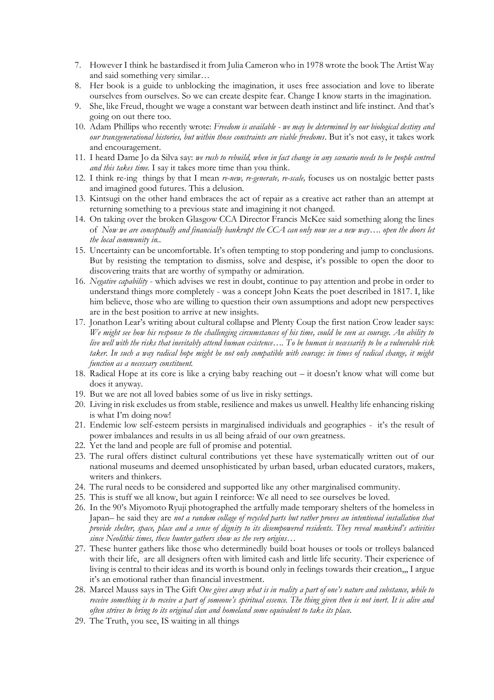- 7. However I think he bastardised it from Julia Cameron who in 1978 wrote the book The Artist Way and said something very similar…
- 8. Her book is a guide to unblocking the imagination, it uses free association and love to liberate ourselves from ourselves. So we can create despite fear. Change I know starts in the imagination.
- 9. She, like Freud, thought we wage a constant war between death instinct and life instinct. And that's going on out there too.
- 10. Adam Phillips who recently wrote: *Freedom is available - we may be determined by our biological destiny and our transgenerational histories, but within those constraints are viable freedoms*. But it's not easy, it takes work and encouragement.
- 11. I heard Dame Jo da Silva say: *we rush to rebuild, when in fact change in any scenario needs to be people centred and this takes time.* I say it takes more time than you think.
- 12. I think re-ing things by that I mean *re-new, re-generate, re-scale,* focuses us on nostalgic better pasts and imagined good futures. This a delusion.
- 13. Kintsugi on the other hand embraces the act of repair as a creative act rather than an attempt at returning something to a previous state and imagining it not changed.
- 14. On taking over the broken Glasgow CCA Director Francis McKee said something along the lines of *Now we are conceptually and financially bankrupt the CCA can only now see a new way…. open the doors let the local community in..*
- 15. Uncertainty can be uncomfortable. It's often tempting to stop pondering and jump to conclusions. But by resisting the temptation to dismiss, solve and despise, it's possible to open the door to discovering traits that are worthy of sympathy or admiration.
- 16. *Negative capability* which advises we rest in doubt, continue to pay attention and probe in order to understand things more completely - was a concept John Keats the poet described in 1817. I, like him believe, those who are willing to question their own assumptions and adopt new perspectives are in the best position to arrive at new insights.
- 17. Jonathon Lear's writing about cultural collapse and Plenty Coup the first nation Crow leader says: *We might see how his response to the challenging circumstances of his time, could be seen as courage. An ability to live well with the risks that inevitably attend human existence…. To be human is necessarily to be a vulnerable risk taker. In such a way radical hope might be not only compatible with courage: in times of radical change, it might function as a necessary constituent.*
- 18. Radical Hope at its core is like a crying baby reaching out it doesn't know what will come but does it anyway.
- 19. But we are not all loved babies some of us live in risky settings.
- 20. Living in risk excludes us from stable, resilience and makes us unwell. Healthy life enhancing risking is what I'm doing now!
- 21. Endemic low self-esteem persists in marginalised individuals and geographies it's the result of power imbalances and results in us all being afraid of our own greatness.
- 22. Yet the land and people are full of promise and potential.
- 23. The rural offers distinct cultural contributions yet these have systematically written out of our national museums and deemed unsophisticated by urban based, urban educated curators, makers, writers and thinkers.
- 24. The rural needs to be considered and supported like any other marginalised community.
- 25. This is stuff we all know, but again I reinforce: We all need to see ourselves be loved.
- 26. In the 90's Miyomoto Ryuji photographed the artfully made temporary shelters of the homeless in Japan– he said they are *not a random collage of recycled parts but rather proves an intentional installation that provide shelter, space, place and a sense of dignity to its disempowered residents. They reveal mankind's activities since Neolithic times, these hunter gathers show us the very origins…*
- 27. These hunter gathers like those who determinedly build boat houses or tools or trolleys balanced with their life, are all designers often with limited cash and little life security. Their experience of living is central to their ideas and its worth is bound only in feelings towards their creation,,, I argue it's an emotional rather than financial investment.
- 28. Marcel Mauss says in The Gift *One gives away what is in reality a part of one's nature and substance, while to receive something is to receive a part of someone's spiritual essence. The thing given then is not inert. It is alive and often strives to bring to its original clan and homeland some equivalent to take its place.*
- 29. The Truth, you see, IS waiting in all things